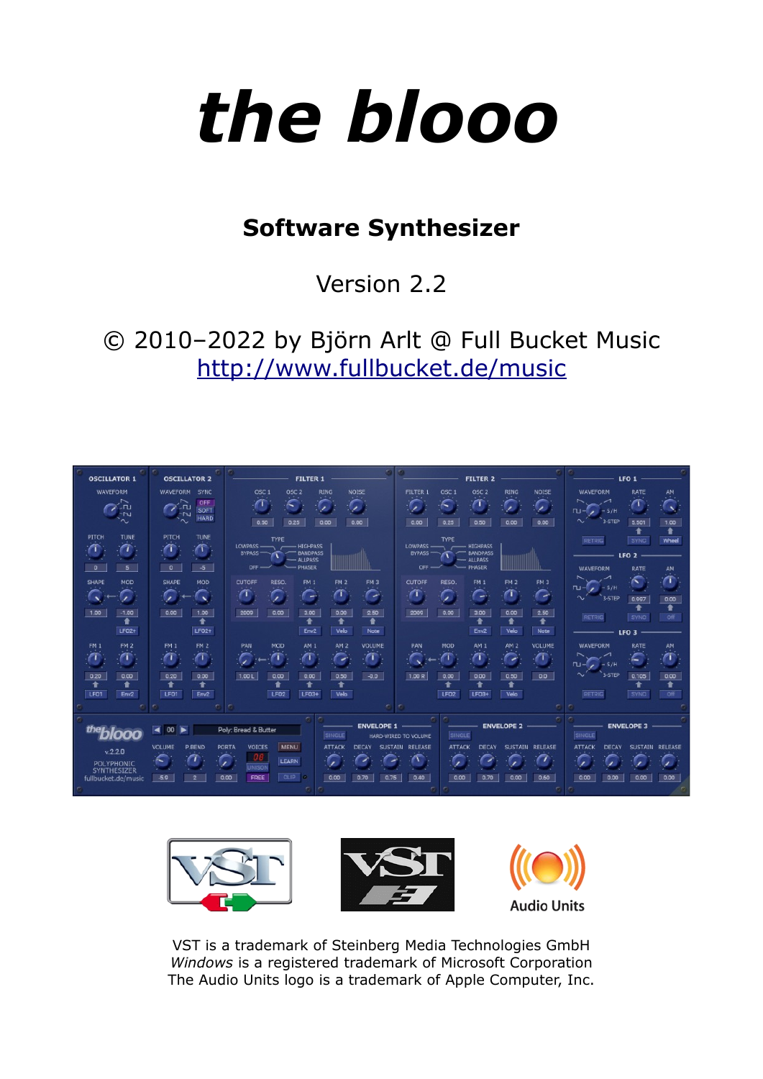

# **Software Synthesizer**

Version 2.2

© 2010–2022 by Björn Arlt @ Full Bucket Music <http://www.fullbucket.de/music>





VST is a trademark of Steinberg Media Technologies GmbH *Windows* is a registered trademark of Microsoft Corporation The Audio Units logo is a trademark of Apple Computer, Inc.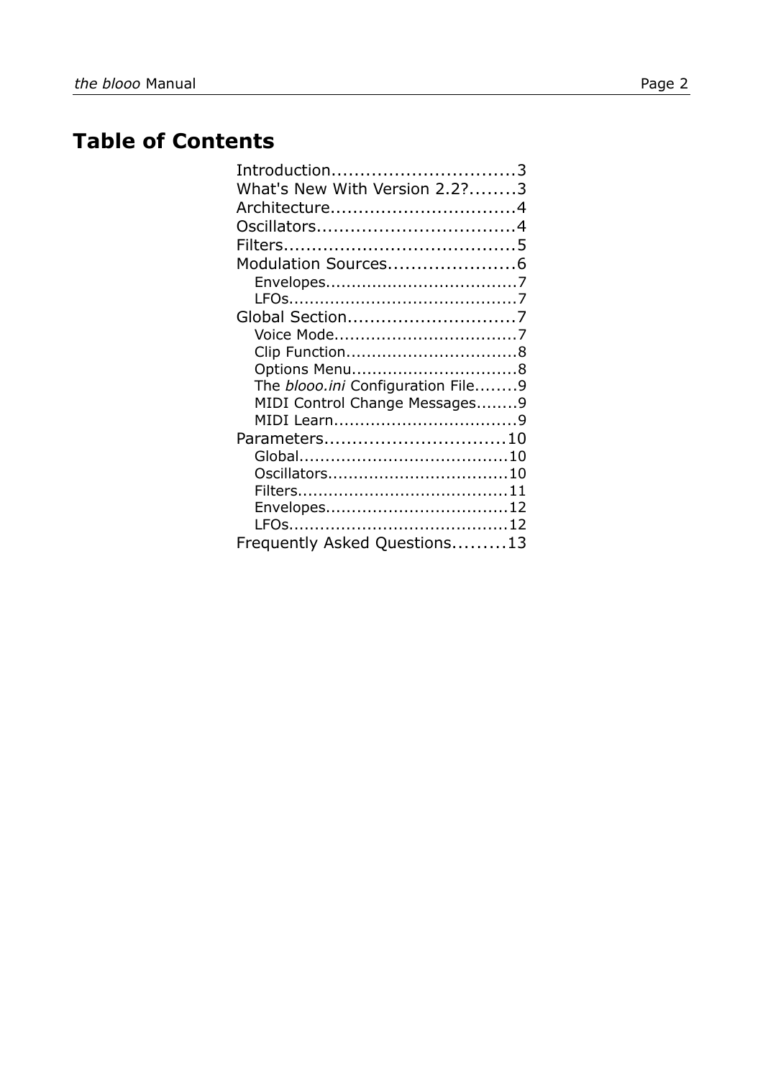# **Table of Contents**

| Introduction3                            |  |
|------------------------------------------|--|
| What's New With Version 2.2?3            |  |
| Architecture4                            |  |
|                                          |  |
|                                          |  |
| Modulation Sources6                      |  |
|                                          |  |
|                                          |  |
|                                          |  |
|                                          |  |
|                                          |  |
|                                          |  |
| The <i>blooo.ini</i> Configuration File9 |  |
| MIDI Control Change Messages9            |  |
|                                          |  |
| Parameters10                             |  |
|                                          |  |
|                                          |  |
|                                          |  |
| Envelopes12                              |  |
|                                          |  |
| Frequently Asked Questions13             |  |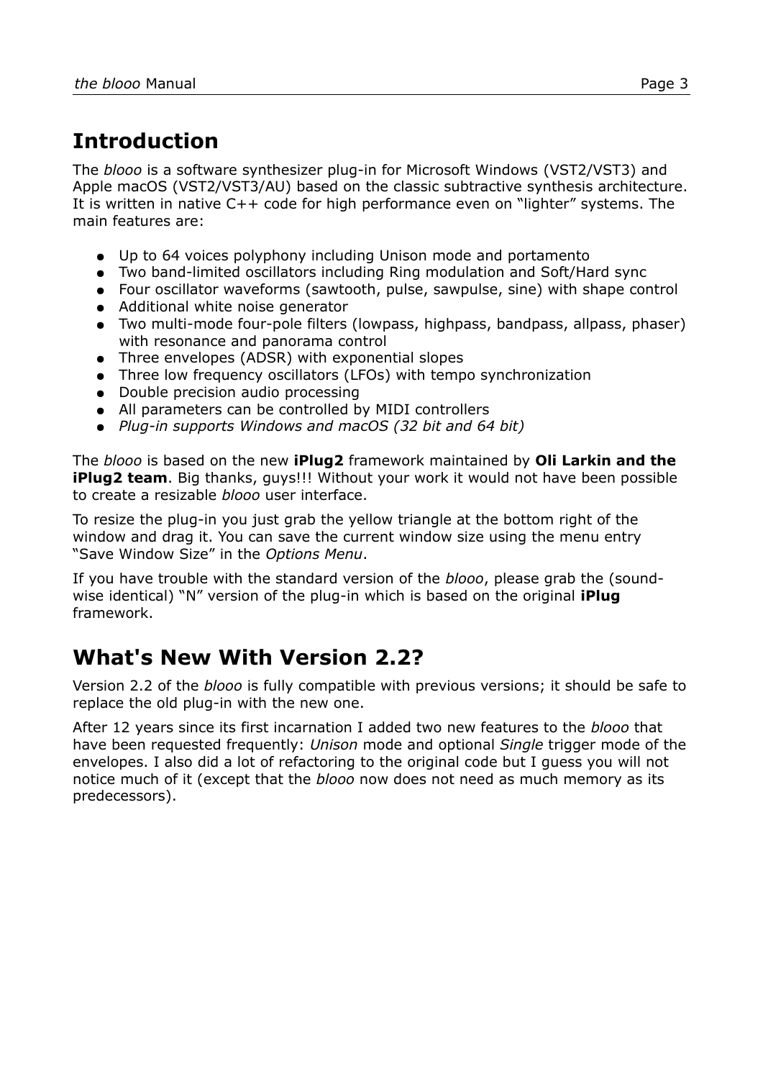# **Introduction**

The *blooo* is a software synthesizer plug-in for Microsoft Windows (VST2/VST3) and Apple macOS (VST2/VST3/AU) based on the classic subtractive synthesis architecture. It is written in native C++ code for high performance even on "lighter" systems. The main features are:

- Up to 64 voices polyphony including Unison mode and portamento
- Two band-limited oscillators including Ring modulation and Soft/Hard sync
- Four oscillator waveforms (sawtooth, pulse, sawpulse, sine) with shape control
- Additional white noise generator
- Two multi-mode four-pole filters (lowpass, highpass, bandpass, allpass, phaser) with resonance and panorama control
- Three envelopes (ADSR) with exponential slopes
- Three low frequency oscillators (LFOs) with tempo synchronization
- Double precision audio processing
- All parameters can be controlled by MIDI controllers
- *Plug-in supports Windows and macOS (32 bit and 64 bit)*

The *blooo* is based on the new **iPlug2** framework maintained by **Oli Larkin and the iPlug2 team**. Big thanks, guys!!! Without your work it would not have been possible to create a resizable *blooo* user interface.

To resize the plug-in you just grab the yellow triangle at the bottom right of the window and drag it. You can save the current window size using the menu entry "Save Window Size" in the *[Options Menu](#page-7-0)*.

If you have trouble with the standard version of the *blooo*, please grab the (soundwise identical) "N" version of the plug-in which is based on the original **iPlug** framework.

## **What's New With Version 2.2?**

Version 2.2 of the *blooo* is fully compatible with previous versions; it should be safe to replace the old plug-in with the new one.

After 12 years since its first incarnation I added two new features to the *blooo* that have been requested frequently: *Unison* mode and optional *Single* trigger mode of the envelopes. I also did a lot of refactoring to the original code but I guess you will not notice much of it (except that the *blooo* now does not need as much memory as its predecessors).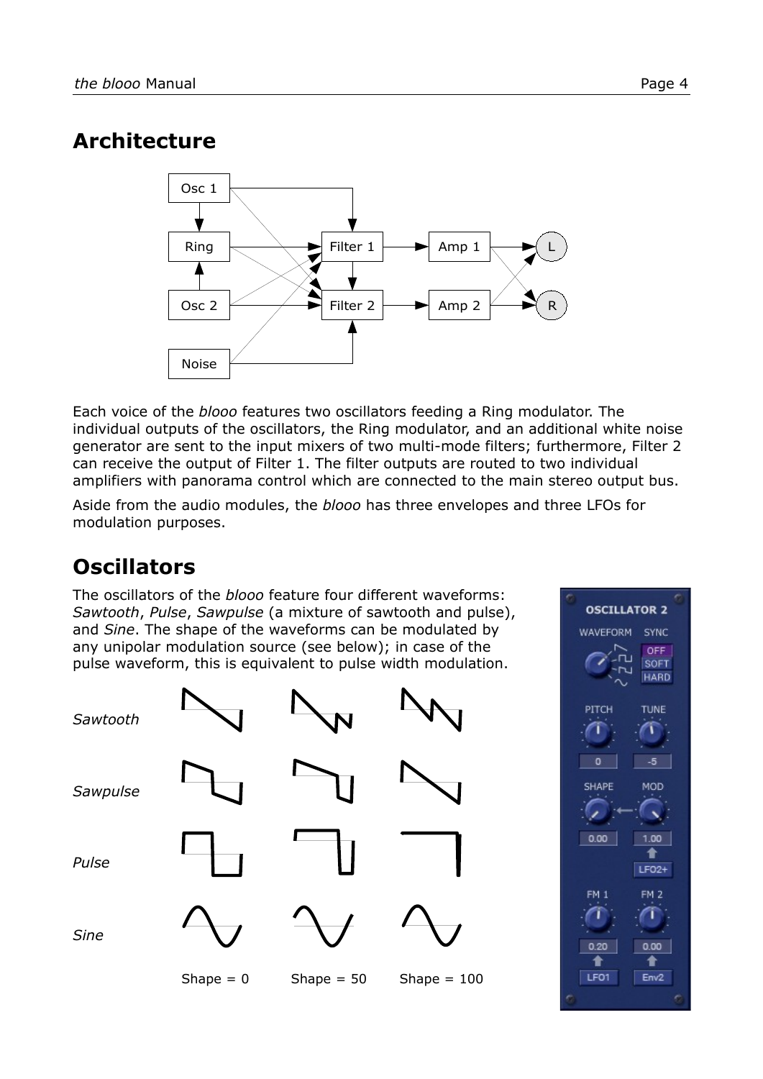## **Architecture**



Each voice of the *blooo* features two oscillators feeding a Ring modulator. The individual outputs of the oscillators, the Ring modulator, and an additional white noise generator are sent to the input mixers of two multi-mode filters; furthermore, Filter 2 can receive the output of Filter 1. The filter outputs are routed to two individual amplifiers with panorama control which are connected to the main stereo output bus.

Aside from the audio modules, the *blooo* has three envelopes and three LFOs for modulation purposes.

# **Oscillators**

The oscillators of the *blooo* feature four different waveforms: *Sawtooth*, *Pulse*, *Sawpulse* (a mixture of sawtooth and pulse), and *Sine*. The shape of the waveforms can be modulated by any unipolar modulation source (see below); in case of the pulse waveform, this is equivalent to pulse width modulation.



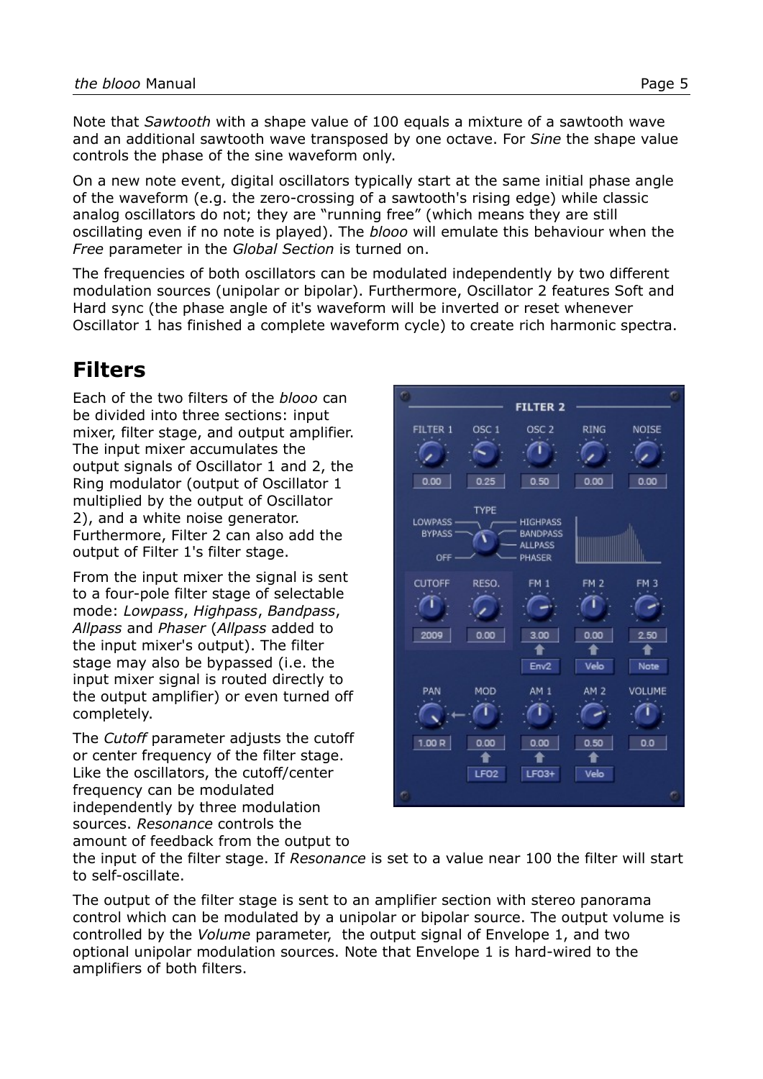Note that *Sawtooth* with a shape value of 100 equals a mixture of a sawtooth wave and an additional sawtooth wave transposed by one octave. For *Sine* the shape value controls the phase of the sine waveform only.

On a new note event, digital oscillators typically start at the same initial phase angle of the waveform (e.g. the zero-crossing of a sawtooth's rising edge) while classic analog oscillators do not; they are "running free" (which means they are still oscillating even if no note is played). The *blooo* will emulate this behaviour when the *Free* parameter in the *[Global Section](#page-6-0)* is turned on.

The frequencies of both oscillators can be modulated independently by two different modulation sources (unipolar or bipolar). Furthermore, Oscillator 2 features Soft and Hard sync (the phase angle of it's waveform will be inverted or reset whenever Oscillator 1 has finished a complete waveform cycle) to create rich harmonic spectra.

## **Filters**

Each of the two filters of the *blooo* can be divided into three sections: input mixer, filter stage, and output amplifier. The input mixer accumulates the output signals of Oscillator 1 and 2, the Ring modulator (output of Oscillator 1 multiplied by the output of Oscillator 2), and a white noise generator. Furthermore, Filter 2 can also add the output of Filter 1's filter stage.

From the input mixer the signal is sent to a four-pole filter stage of selectable mode: *Lowpass*, *Highpass*, *Bandpass*, *Allpass* and *Phaser* (*Allpass* added to the input mixer's output). The filter stage may also be bypassed (i.e. the input mixer signal is routed directly to the output amplifier) or even turned off completely.

The *Cutoff* parameter adjusts the cutoff or center frequency of the filter stage. Like the oscillators, the cutoff/center frequency can be modulated independently by three modulation sources. *Resonance* controls the amount of feedback from the output to



the input of the filter stage. If *Resonance* is set to a value near 100 the filter will start to self-oscillate.

The output of the filter stage is sent to an amplifier section with stereo panorama control which can be modulated by a unipolar or bipolar source. The output volume is controlled by the *Volume* parameter, the output signal of Envelope 1, and two optional unipolar modulation sources. Note that Envelope 1 is hard-wired to the amplifiers of both filters.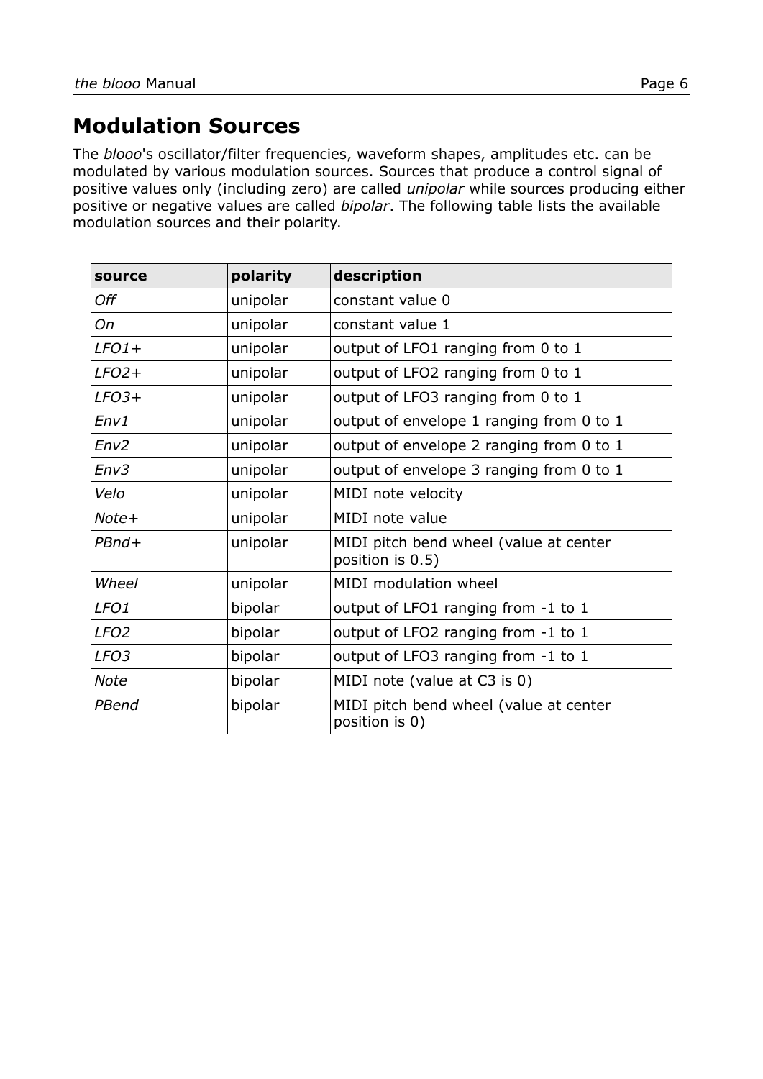## **Modulation Sources**

The *blooo*'s oscillator/filter frequencies, waveform shapes, amplitudes etc. can be modulated by various modulation sources. Sources that produce a control signal of positive values only (including zero) are called *unipolar* while sources producing either positive or negative values are called *bipolar*. The following table lists the available modulation sources and their polarity.

| source           | polarity | description                                                |
|------------------|----------|------------------------------------------------------------|
| Off              | unipolar | constant value 0                                           |
| On               | unipolar | constant value 1                                           |
| $LFO1+$          | unipolar | output of LFO1 ranging from 0 to 1                         |
| $LFO2+$          | unipolar | output of LFO2 ranging from 0 to 1                         |
| $LFO3+$          | unipolar | output of LFO3 ranging from 0 to 1                         |
| Env1             | unipolar | output of envelope 1 ranging from 0 to 1                   |
| Env2             | unipolar | output of envelope 2 ranging from 0 to 1                   |
| Env3             | unipolar | output of envelope 3 ranging from 0 to 1                   |
| Velo             | unipolar | MIDI note velocity                                         |
| Note+            | unipolar | MIDI note value                                            |
| $PBnd+$          | unipolar | MIDI pitch bend wheel (value at center<br>position is 0.5) |
| Wheel            | unipolar | MIDI modulation wheel                                      |
| LFO <sub>1</sub> | bipolar  | output of LFO1 ranging from -1 to 1                        |
| LFO <sub>2</sub> | bipolar  | output of LFO2 ranging from -1 to 1                        |
| LFO <sub>3</sub> | bipolar  | output of LFO3 ranging from -1 to 1                        |
| Note             | bipolar  | MIDI note (value at C3 is 0)                               |
| PBend            | bipolar  | MIDI pitch bend wheel (value at center<br>position is 0)   |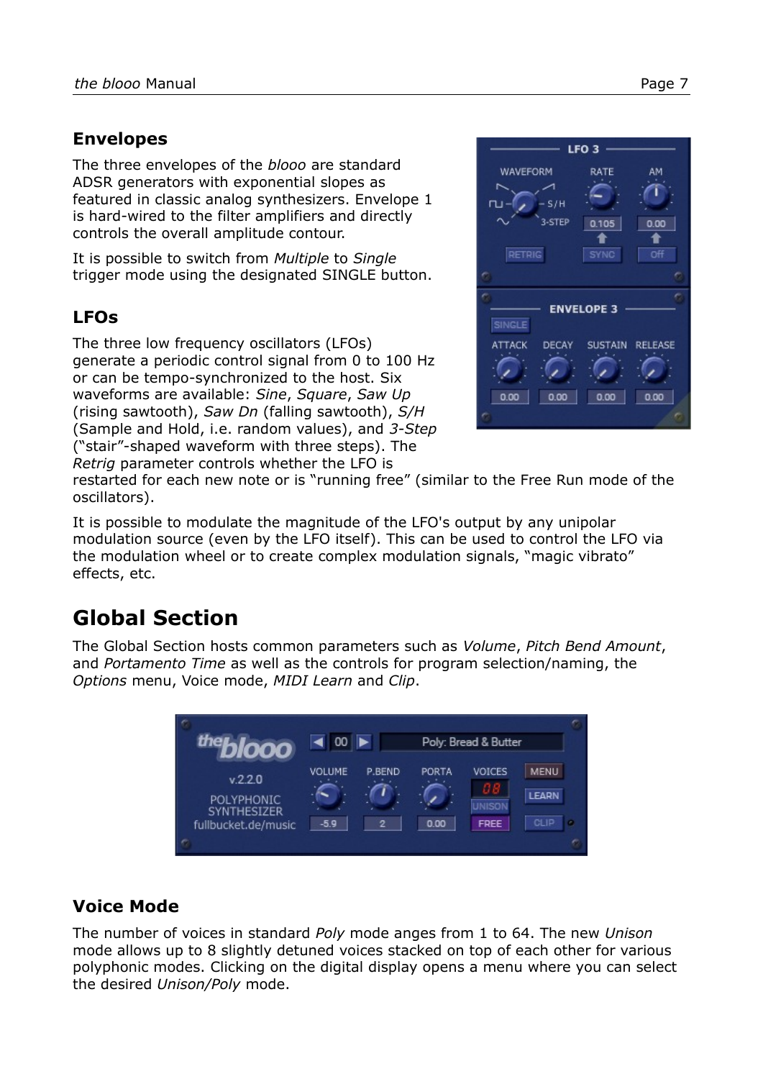#### **Envelopes**

The three envelopes of the *blooo* are standard ADSR generators with exponential slopes as featured in classic analog synthesizers. Envelope 1 is hard-wired to the filter amplifiers and directly controls the overall amplitude contour.

It is possible to switch from *Multiple* to *Single*  trigger mode using the designated SINGLE button.

## **LFOs**

The three low frequency oscillators (LFOs) generate a periodic control signal from 0 to 100 Hz or can be tempo-synchronized to the host. Six waveforms are available: *Sine*, *Square*, *Saw Up*  (rising sawtooth), *Saw Dn* (falling sawtooth), *S/H*  (Sample and Hold, i.e. random values), and *3-Step* ("stair"-shaped waveform with three steps). The *Retrig* parameter controls whether the LFO is



restarted for each new note or is "running free" (similar to the Free Run mode of the oscillators).

It is possible to modulate the magnitude of the LFO's output by any unipolar modulation source (even by the LFO itself). This can be used to control the LFO via the modulation wheel or to create complex modulation signals, "magic vibrato" effects, etc.

# <span id="page-6-0"></span>**Global Section**

The Global Section hosts common parameters such as *Volume*, *Pitch Bend Amount*, and *Portamento Time* as well as the controls for program selection/naming, the *Options* menu, Voice mode, *MIDI Learn* and *Clip*.



### **Voice Mode**

The number of voices in standard *Poly* mode anges from 1 to 64. The new *Unison* mode allows up to 8 slightly detuned voices stacked on top of each other for various polyphonic modes. Clicking on the digital display opens a menu where you can select the desired *Unison/Poly* mode.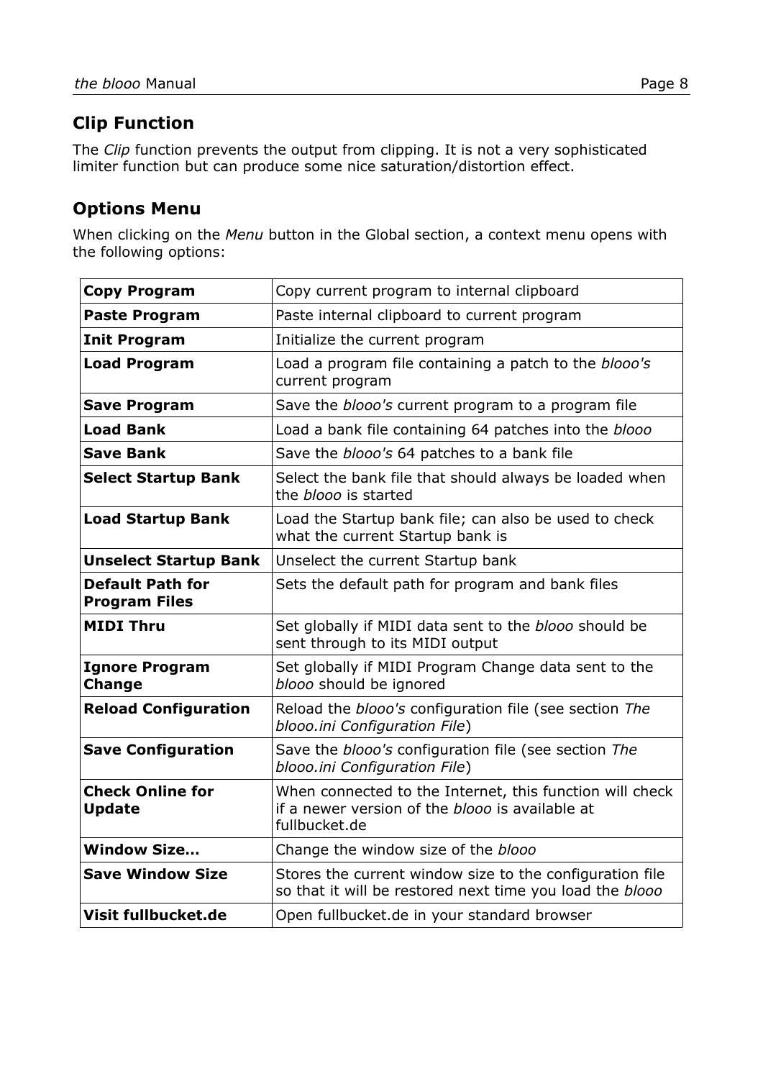### **Clip Function**

The *Clip* function prevents the output from clipping. It is not a very sophisticated limiter function but can produce some nice saturation/distortion effect.

#### <span id="page-7-0"></span>**Options Menu**

When clicking on the *Menu* button in the Global section, a context menu opens with the following options:

| <b>Copy Program</b>                             | Copy current program to internal clipboard                                                                                          |
|-------------------------------------------------|-------------------------------------------------------------------------------------------------------------------------------------|
| <b>Paste Program</b>                            | Paste internal clipboard to current program                                                                                         |
| <b>Init Program</b>                             | Initialize the current program                                                                                                      |
| <b>Load Program</b>                             | Load a program file containing a patch to the blooo's<br>current program                                                            |
| <b>Save Program</b>                             | Save the <i>blooo's</i> current program to a program file                                                                           |
| <b>Load Bank</b>                                | Load a bank file containing 64 patches into the blooo                                                                               |
| <b>Save Bank</b>                                | Save the <i>blooo's</i> 64 patches to a bank file                                                                                   |
| <b>Select Startup Bank</b>                      | Select the bank file that should always be loaded when<br>the blooo is started                                                      |
| <b>Load Startup Bank</b>                        | Load the Startup bank file; can also be used to check<br>what the current Startup bank is                                           |
| <b>Unselect Startup Bank</b>                    | Unselect the current Startup bank                                                                                                   |
| <b>Default Path for</b><br><b>Program Files</b> | Sets the default path for program and bank files                                                                                    |
| <b>MIDI Thru</b>                                | Set globally if MIDI data sent to the <i>blooo</i> should be<br>sent through to its MIDI output                                     |
| <b>Ignore Program</b><br><b>Change</b>          | Set globally if MIDI Program Change data sent to the<br>blooo should be ignored                                                     |
| <b>Reload Configuration</b>                     | Reload the blooo's configuration file (see section The<br>blooo.ini Configuration File)                                             |
| <b>Save Configuration</b>                       | Save the <i>blooo's</i> configuration file (see section The<br>blooo.ini Configuration File)                                        |
| <b>Check Online for</b><br><b>Update</b>        | When connected to the Internet, this function will check<br>if a newer version of the <i>blooo</i> is available at<br>fullbucket.de |
| <b>Window Size</b>                              | Change the window size of the blooo                                                                                                 |
| <b>Save Window Size</b>                         | Stores the current window size to the configuration file<br>so that it will be restored next time you load the blooo                |
| Visit fullbucket.de                             | Open fullbucket.de in your standard browser                                                                                         |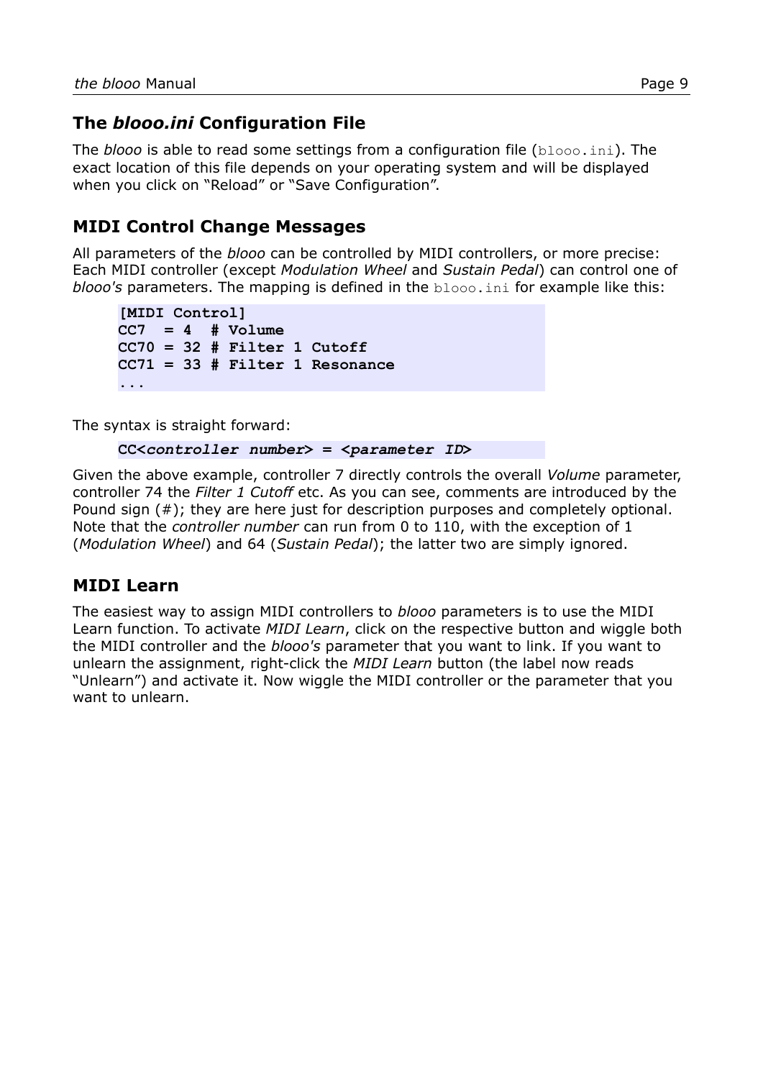### <span id="page-8-0"></span>**The** *blooo.ini* **Configuration File**

The *blooo* is able to read some settings from a configuration file (blooo.ini). The exact location of this file depends on your operating system and will be displayed when you click on "Reload" or "Save Configuration".

#### **MIDI Control Change Messages**

All parameters of the *blooo* can be controlled by MIDI controllers, or more precise: Each MIDI controller (except *Modulation Wheel* and *Sustain Pedal*) can control one of *blooo's* parameters. The mapping is defined in the blooo.ini for example like this:

```
[MIDI Control]
CC7 = 4 # Volume
CC70 = 32 # Filter 1 Cutoff
CC71 = 33 # Filter 1 Resonance
...
```
The syntax is straight forward:

**CC<***controller number***> = <***parameter ID***>**

Given the above example, controller 7 directly controls the overall *Volume* parameter, controller 74 the *Filter 1 Cutoff* etc. As you can see, comments are introduced by the Pound sign (#); they are here just for description purposes and completely optional. Note that the *controller number* can run from 0 to 110, with the exception of 1 (*Modulation Wheel*) and 64 (*Sustain Pedal*); the latter two are simply ignored.

#### **MIDI Learn**

The easiest way to assign MIDI controllers to *blooo* parameters is to use the MIDI Learn function. To activate *MIDI Learn*, click on the respective button and wiggle both the MIDI controller and the *blooo's* parameter that you want to link. If you want to unlearn the assignment, right-click the *MIDI Learn* button (the label now reads "Unlearn") and activate it. Now wiggle the MIDI controller or the parameter that you want to unlearn.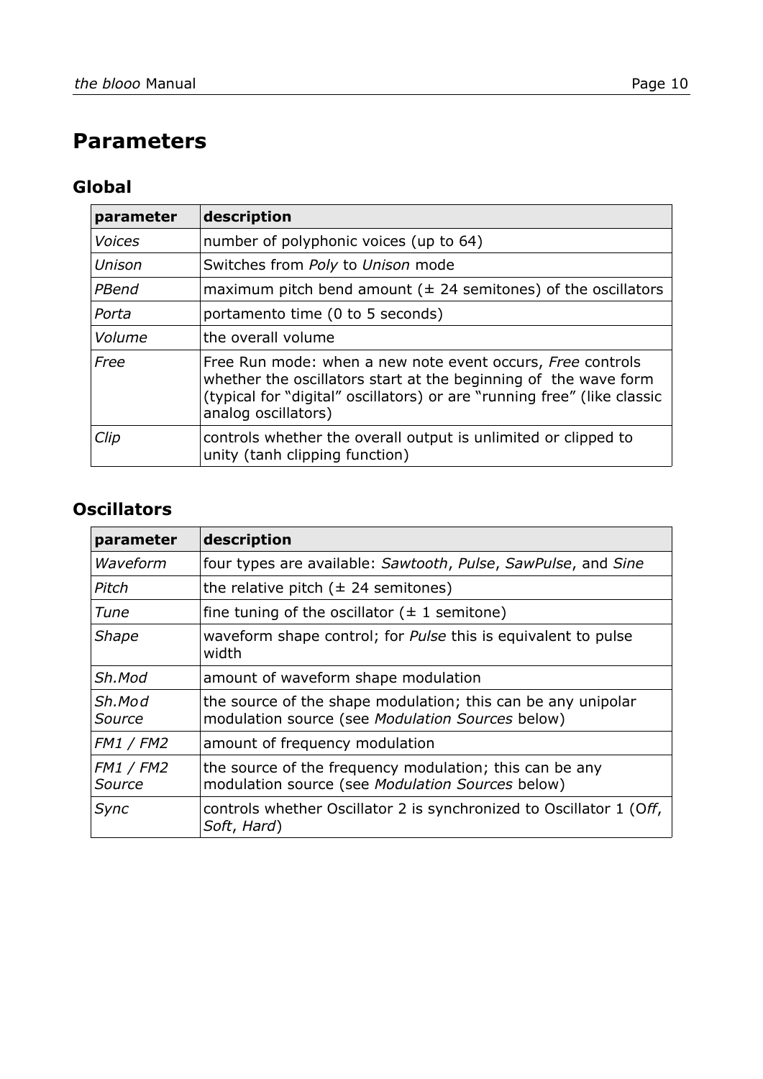# **Parameters**

### **Global**

| parameter     | description                                                                                                                                                                                                                     |
|---------------|---------------------------------------------------------------------------------------------------------------------------------------------------------------------------------------------------------------------------------|
| <b>Voices</b> | number of polyphonic voices (up to 64)                                                                                                                                                                                          |
| Unison        | Switches from Poly to Unison mode                                                                                                                                                                                               |
| PBend         | maximum pitch bend amount ( $\pm$ 24 semitones) of the oscillators                                                                                                                                                              |
| Porta         | portamento time (0 to 5 seconds)                                                                                                                                                                                                |
| Volume        | the overall volume                                                                                                                                                                                                              |
| Free          | Free Run mode: when a new note event occurs, Free controls<br>whether the oscillators start at the beginning of the wave form<br>(typical for "digital" oscillators) or are "running free" (like classic<br>analog oscillators) |
| Clip          | controls whether the overall output is unlimited or clipped to<br>unity (tanh clipping function)                                                                                                                                |

### **Oscillators**

| parameter                  | description                                                                                                      |
|----------------------------|------------------------------------------------------------------------------------------------------------------|
| Waveform                   | four types are available: Sawtooth, Pulse, SawPulse, and Sine                                                    |
| Pitch                      | the relative pitch $(\pm 24$ semitones)                                                                          |
| Tune                       | fine tuning of the oscillator $(\pm 1)$ semitone)                                                                |
| <b>Shape</b>               | waveform shape control; for <i>Pulse</i> this is equivalent to pulse<br>width                                    |
| Sh.Mod                     | amount of waveform shape modulation                                                                              |
| Sh.Mod<br>Source           | the source of the shape modulation; this can be any unipolar<br>modulation source (see Modulation Sources below) |
| <b>FM1 / FM2</b>           | amount of frequency modulation                                                                                   |
| <b>FM1 / FM2</b><br>Source | the source of the frequency modulation; this can be any<br>modulation source (see Modulation Sources below)      |
| Sync                       | controls whether Oscillator 2 is synchronized to Oscillator 1 (Off,<br>Soft, Hard)                               |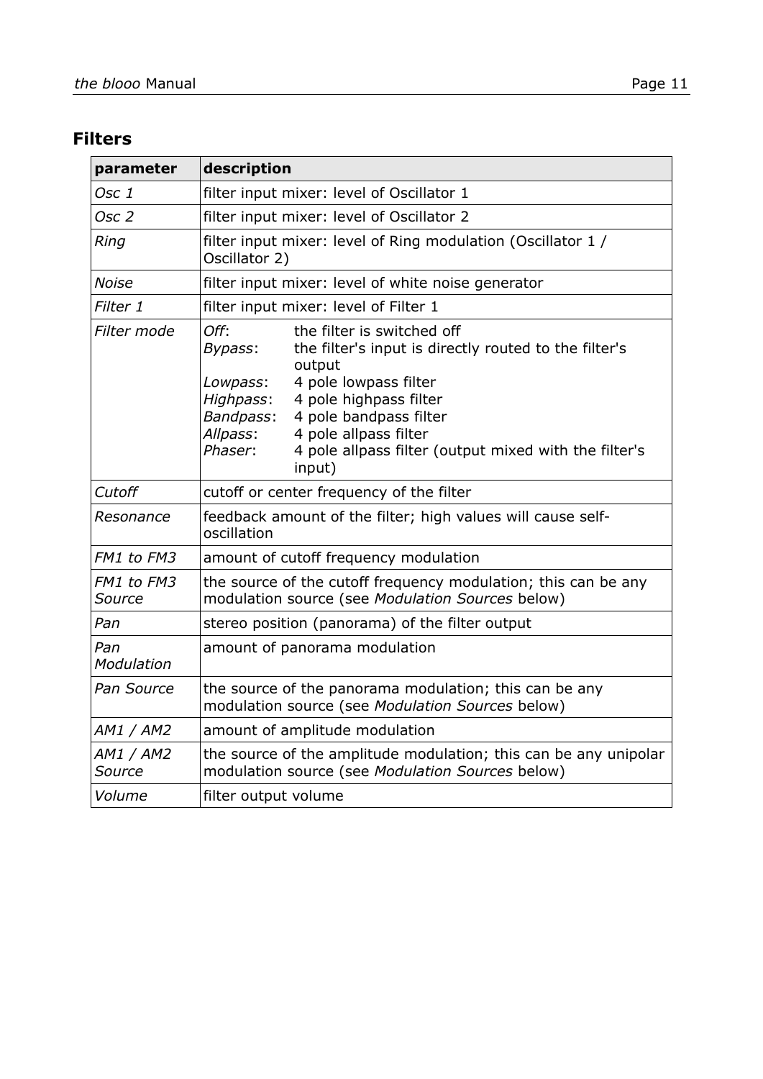## **Filters**

| parameter                   | description                                                                                                                                                                                                                                                                                                                                            |
|-----------------------------|--------------------------------------------------------------------------------------------------------------------------------------------------------------------------------------------------------------------------------------------------------------------------------------------------------------------------------------------------------|
| Osc 1                       | filter input mixer: level of Oscillator 1                                                                                                                                                                                                                                                                                                              |
| Osc <sub>2</sub>            | filter input mixer: level of Oscillator 2                                                                                                                                                                                                                                                                                                              |
| Ring                        | filter input mixer: level of Ring modulation (Oscillator 1 /<br>Oscillator 2)                                                                                                                                                                                                                                                                          |
| <b>Noise</b>                | filter input mixer: level of white noise generator                                                                                                                                                                                                                                                                                                     |
| Filter 1                    | filter input mixer: level of Filter 1                                                                                                                                                                                                                                                                                                                  |
| Filter mode                 | Off:<br>the filter is switched off<br>the filter's input is directly routed to the filter's<br>Bypass:<br>output<br>4 pole lowpass filter<br>Lowpass:<br>Highpass:<br>4 pole highpass filter<br>Bandpass:<br>4 pole bandpass filter<br>4 pole allpass filter<br>Allpass:<br>Phaser:<br>4 pole allpass filter (output mixed with the filter's<br>input) |
| Cutoff                      | cutoff or center frequency of the filter                                                                                                                                                                                                                                                                                                               |
| Resonance                   | feedback amount of the filter; high values will cause self-<br>oscillation                                                                                                                                                                                                                                                                             |
| FM1 to FM3                  | amount of cutoff frequency modulation                                                                                                                                                                                                                                                                                                                  |
| <b>FM1</b> to FM3<br>Source | the source of the cutoff frequency modulation; this can be any<br>modulation source (see Modulation Sources below)                                                                                                                                                                                                                                     |
| Pan                         | stereo position (panorama) of the filter output                                                                                                                                                                                                                                                                                                        |
| Pan<br>Modulation           | amount of panorama modulation                                                                                                                                                                                                                                                                                                                          |
| Pan Source                  | the source of the panorama modulation; this can be any<br>modulation source (see Modulation Sources below)                                                                                                                                                                                                                                             |
| AM1 / AM2                   | amount of amplitude modulation                                                                                                                                                                                                                                                                                                                         |
| AM1 / AM2<br>Source         | the source of the amplitude modulation; this can be any unipolar<br>modulation source (see Modulation Sources below)                                                                                                                                                                                                                                   |
| Volume                      | filter output volume                                                                                                                                                                                                                                                                                                                                   |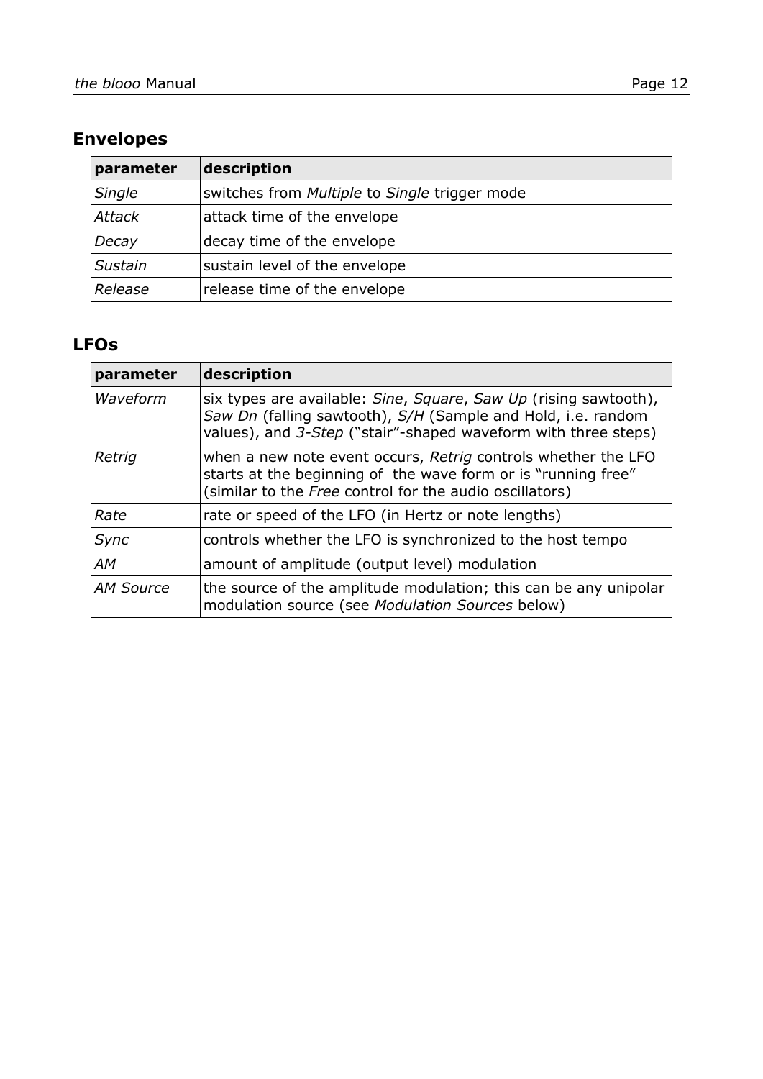| parameter     | description                                                 |
|---------------|-------------------------------------------------------------|
| Single        | switches from <i>Multiple</i> to <i>Single</i> trigger mode |
| <b>Attack</b> | attack time of the envelope                                 |
| Decay         | decay time of the envelope                                  |
| Sustain       | sustain level of the envelope                               |
| Release       | release time of the envelope                                |

#### **LFOs**

| parameter | description                                                                                                                                                                                        |
|-----------|----------------------------------------------------------------------------------------------------------------------------------------------------------------------------------------------------|
| Waveform  | six types are available: Sine, Square, Saw Up (rising sawtooth),<br>Saw Dn (falling sawtooth), S/H (Sample and Hold, i.e. random<br>values), and 3-Step ("stair"-shaped waveform with three steps) |
| Retrig    | when a new note event occurs, Retrig controls whether the LFO<br>starts at the beginning of the wave form or is "running free"<br>(similar to the Free control for the audio oscillators)          |
| Rate      | rate or speed of the LFO (in Hertz or note lengths)                                                                                                                                                |
| Sync      | controls whether the LFO is synchronized to the host tempo                                                                                                                                         |
| <b>AM</b> | amount of amplitude (output level) modulation                                                                                                                                                      |
| AM Source | the source of the amplitude modulation; this can be any unipolar<br>modulation source (see Modulation Sources below)                                                                               |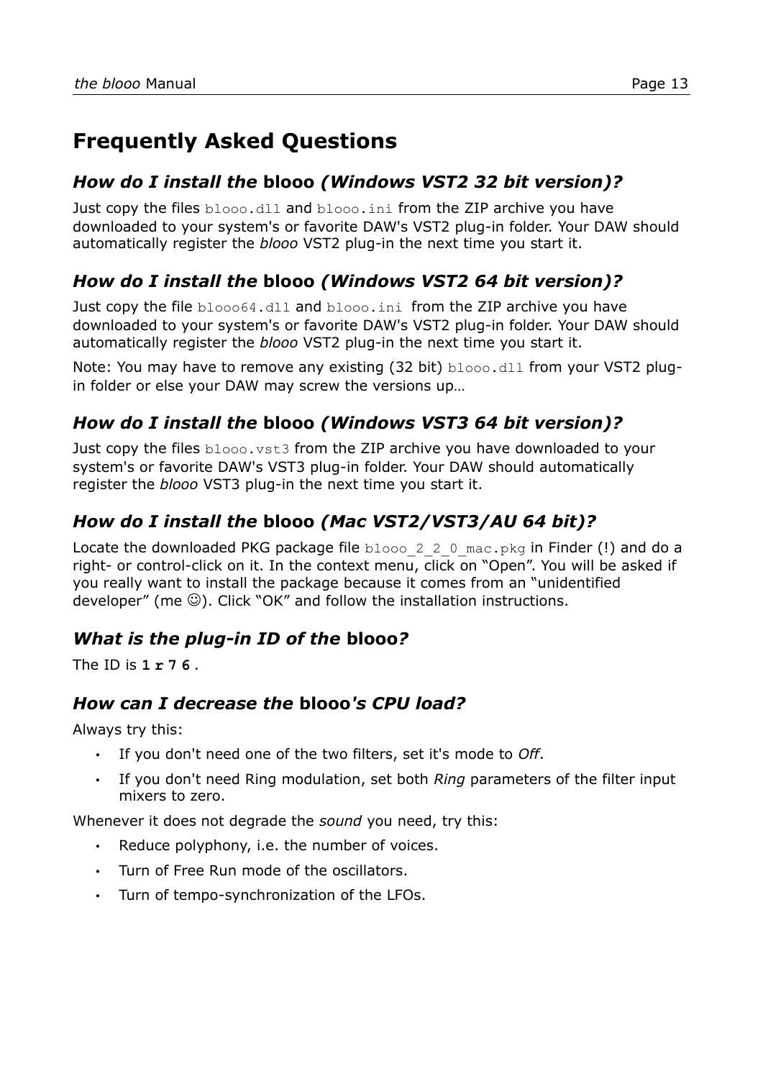# **Frequently Asked Questions**

#### *How do I install the* **blooo** *(Windows VST2 32 bit version)?*

Just copy the files  $b\log d11$  and  $b\log d1$ , from the ZIP archive you have downloaded to your system's or favorite DAW's VST2 plug-in folder. Your DAW should automatically register the *blooo* VST2 plug-in the next time you start it.

## *How do I install the* **blooo** *(Windows VST2 64 bit version)?*

Just copy the file blooo64.dll and blooo.ini from the ZIP archive you have downloaded to your system's or favorite DAW's VST2 plug-in folder. Your DAW should automatically register the *blooo* VST2 plug-in the next time you start it.

Note: You may have to remove any existing (32 bit) blooo.dll from your VST2 plugin folder or else your DAW may screw the versions up…

### *How do I install the* **blooo** *(Windows VST3 64 bit version)?*

Just copy the files blooo. vst3 from the ZIP archive you have downloaded to your system's or favorite DAW's VST3 plug-in folder. Your DAW should automatically register the *blooo* VST3 plug-in the next time you start it.

## *How do I install the* **blooo** *(Mac VST2/VST3/AU 64 bit)?*

Locate the downloaded PKG package file blooo 2 2 0 mac.pkg in Finder (!) and do a right- or control-click on it. In the context menu, click on "Open". You will be asked if you really want to install the package because it comes from an "unidentified developer" (me  $\mathbb{Q}$ ). Click "OK" and follow the installation instructions.

### *What is the plug-in ID of the* **blooo***?*

The ID is **1 r 7 6** .

#### *How can I decrease the* **blooo***'s CPU load?*

Always try this:

- If you don't need one of the two filters, set it's mode to *Off*.
- If you don't need Ring modulation, set both *Ring* parameters of the filter input mixers to zero.

Whenever it does not degrade the *sound* you need, try this:

- Reduce polyphony, i.e. the number of voices.
- Turn of Free Run mode of the oscillators.
- Turn of tempo-synchronization of the LFOs.